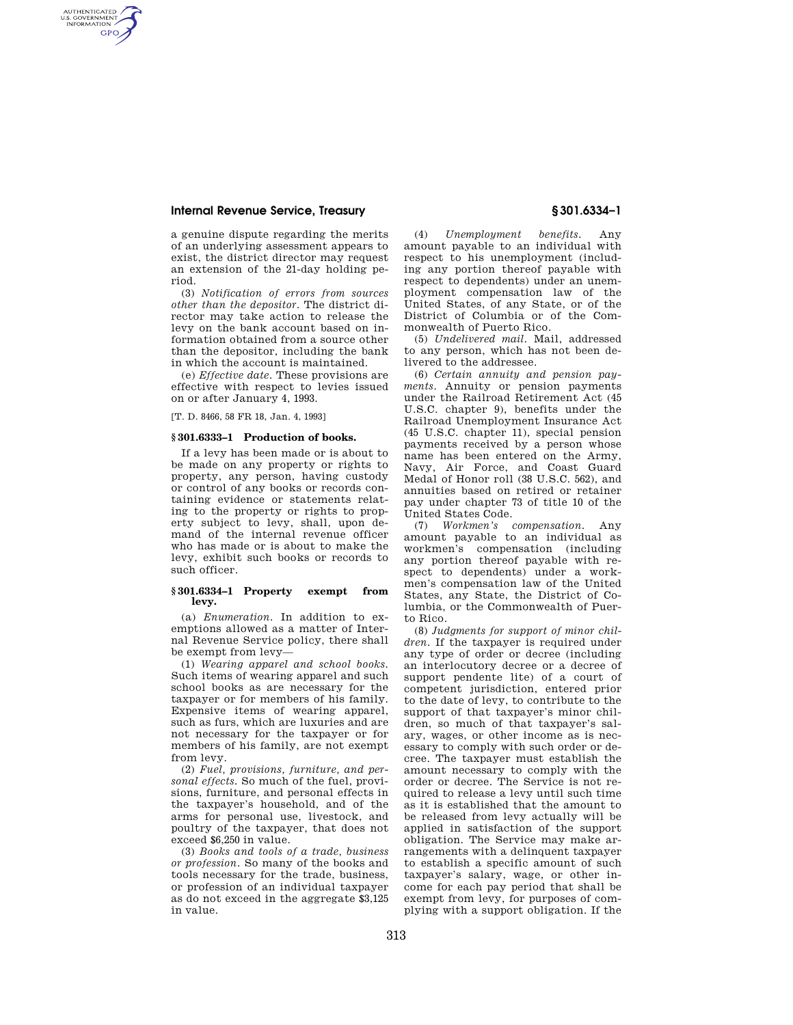# **Internal Revenue Service, Treasury § 301.6334–1**

AUTHENTICATED<br>U.S. GOVERNMENT<br>INFORMATION **GPO** 

> a genuine dispute regarding the merits of an underlying assessment appears to exist, the district director may request an extension of the 21-day holding period.

> (3) *Notification of errors from sources other than the depositor.* The district director may take action to release the levy on the bank account based on information obtained from a source other than the depositor, including the bank in which the account is maintained.

> (e) *Effective date.* These provisions are effective with respect to levies issued on or after January 4, 1993.

[T. D. 8466, 58 FR 18, Jan. 4, 1993]

## **§ 301.6333–1 Production of books.**

If a levy has been made or is about to be made on any property or rights to property, any person, having custody or control of any books or records containing evidence or statements relating to the property or rights to property subject to levy, shall, upon demand of the internal revenue officer who has made or is about to make the levy, exhibit such books or records to such officer.

#### **§ 301.6334–1 Property exempt from levy.**

(a) *Enumeration.* In addition to exemptions allowed as a matter of Internal Revenue Service policy, there shall be exempt from levy—

(1) *Wearing apparel and school books.*  Such items of wearing apparel and such school books as are necessary for the taxpayer or for members of his family. Expensive items of wearing apparel, such as furs, which are luxuries and are not necessary for the taxpayer or for members of his family, are not exempt from levy.

(2) *Fuel, provisions, furniture, and personal effects.* So much of the fuel, provisions, furniture, and personal effects in the taxpayer's household, and of the arms for personal use, livestock, and poultry of the taxpayer, that does not exceed \$6,250 in value.

(3) *Books and tools of a trade, business or profession.* So many of the books and tools necessary for the trade, business, or profession of an individual taxpayer as do not exceed in the aggregate \$3,125 in value.

(4) *Unemployment benefits.* Any amount payable to an individual with respect to his unemployment (including any portion thereof payable with respect to dependents) under an unemployment compensation law of the United States, of any State, or of the District of Columbia or of the Commonwealth of Puerto Rico.

(5) *Undelivered mail.* Mail, addressed to any person, which has not been delivered to the addressee.

(6) *Certain annuity and pension payments.* Annuity or pension payments under the Railroad Retirement Act (45 U.S.C. chapter 9), benefits under the Railroad Unemployment Insurance Act (45 U.S.C. chapter 11), special pension payments received by a person whose name has been entered on the Army, Navy, Air Force, and Coast Guard Medal of Honor roll (38 U.S.C. 562), and annuities based on retired or retainer pay under chapter 73 of title 10 of the United States Code.<br>(7) Workmen's

(7) *Workmen's compensation.* Any amount payable to an individual as workmen's compensation (including any portion thereof payable with respect to dependents) under a workmen's compensation law of the United States, any State, the District of Columbia, or the Commonwealth of Puerto Rico.

(8) *Judgments for support of minor children.* If the taxpayer is required under any type of order or decree (including an interlocutory decree or a decree of support pendente lite) of a court of competent jurisdiction, entered prior to the date of levy, to contribute to the support of that taxpayer's minor children, so much of that taxpayer's salary, wages, or other income as is necessary to comply with such order or decree. The taxpayer must establish the amount necessary to comply with the order or decree. The Service is not required to release a levy until such time as it is established that the amount to be released from levy actually will be applied in satisfaction of the support obligation. The Service may make arrangements with a delinquent taxpayer to establish a specific amount of such taxpayer's salary, wage, or other income for each pay period that shall be exempt from levy, for purposes of complying with a support obligation. If the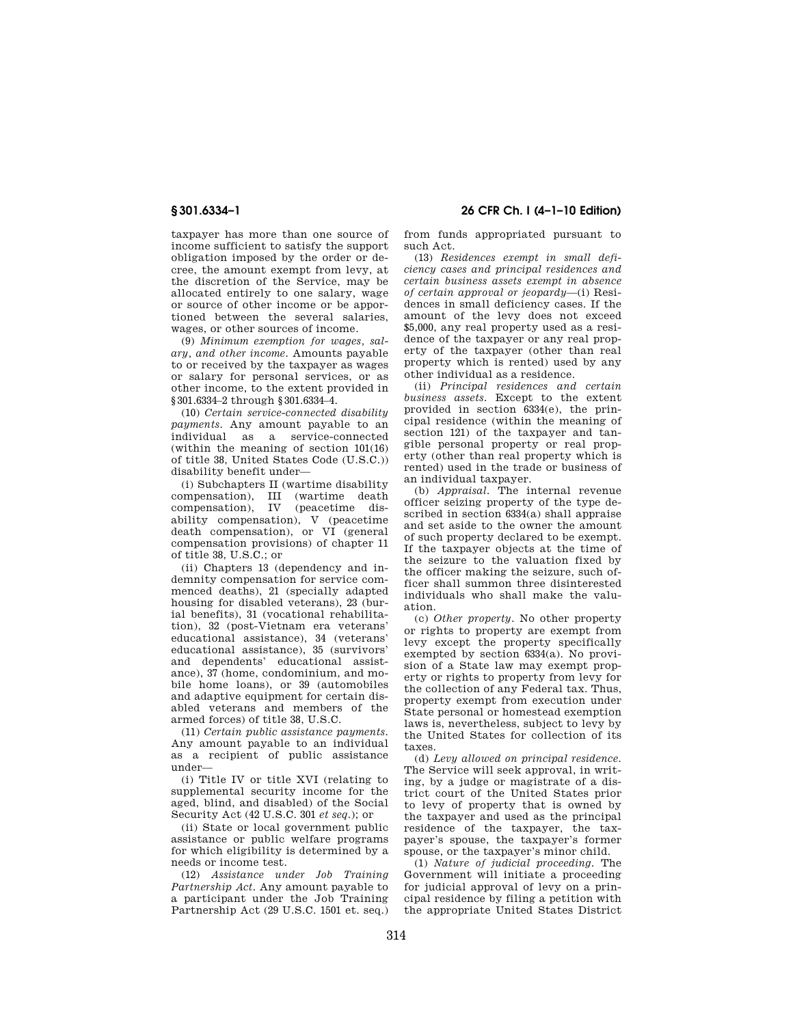taxpayer has more than one source of income sufficient to satisfy the support obligation imposed by the order or decree, the amount exempt from levy, at the discretion of the Service, may be allocated entirely to one salary, wage or source of other income or be apportioned between the several salaries, wages, or other sources of income.

(9) *Minimum exemption for wages, salary, and other income.* Amounts payable to or received by the taxpayer as wages or salary for personal services, or as other income, to the extent provided in §301.6334–2 through §301.6334–4.

(10) *Certain service-connected disability payments.* Any amount payable to an individual as a service-connected (within the meaning of section 101(16) of title 38, United States Code (U.S.C.)) disability benefit under—

(i) Subchapters II (wartime disability compensation), III (wartime death compensation), IV (peacetime disability compensation), V (peacetime death compensation), or VI (general compensation provisions) of chapter 11 of title 38, U.S.C.; or

(ii) Chapters 13 (dependency and indemnity compensation for service commenced deaths), 21 (specially adapted housing for disabled veterans), 23 (burial benefits), 31 (vocational rehabilitation), 32 (post-Vietnam era veterans' educational assistance), 34 (veterans' educational assistance), 35 (survivors' and dependents' educational assistance), 37 (home, condominium, and mobile home loans), or 39 (automobiles and adaptive equipment for certain disabled veterans and members of the armed forces) of title 38, U.S.C.

(11) *Certain public assistance payments.*  Any amount payable to an individual as a recipient of public assistance under—

(i) Title IV or title XVI (relating to supplemental security income for the aged, blind, and disabled) of the Social Security Act (42 U.S.C. 301 *et seq.*); or

(ii) State or local government public assistance or public welfare programs for which eligibility is determined by a needs or income test.

(12) *Assistance under Job Training Partnership Act.* Any amount payable to a participant under the Job Training Partnership Act (29 U.S.C. 1501 et. seq.)

**§ 301.6334–1 26 CFR Ch. I (4–1–10 Edition)** 

from funds appropriated pursuant to such Act.

(13) *Residences exempt in small deficiency cases and principal residences and certain business assets exempt in absence of certain approval or jeopardy*—(i) Residences in small deficiency cases. If the amount of the levy does not exceed \$5,000, any real property used as a residence of the taxpayer or any real property of the taxpayer (other than real property which is rented) used by any other individual as a residence.

(ii) *Principal residences and certain business assets.* Except to the extent provided in section 6334(e), the principal residence (within the meaning of section 121) of the taxpayer and tangible personal property or real property (other than real property which is rented) used in the trade or business of an individual taxpayer.

(b) *Appraisal.* The internal revenue officer seizing property of the type described in section 6334(a) shall appraise and set aside to the owner the amount of such property declared to be exempt. If the taxpayer objects at the time of the seizure to the valuation fixed by the officer making the seizure, such officer shall summon three disinterested individuals who shall make the valuation.

(c) *Other property.* No other property or rights to property are exempt from levy except the property specifically exempted by section 6334(a). No provision of a State law may exempt property or rights to property from levy for the collection of any Federal tax. Thus, property exempt from execution under State personal or homestead exemption laws is, nevertheless, subject to levy by the United States for collection of its taxes.

(d) *Levy allowed on principal residence.*  The Service will seek approval, in writing, by a judge or magistrate of a district court of the United States prior to levy of property that is owned by the taxpayer and used as the principal residence of the taxpayer, the taxpayer's spouse, the taxpayer's former spouse, or the taxpayer's minor child.

(1) *Nature of judicial proceeding.* The Government will initiate a proceeding for judicial approval of levy on a principal residence by filing a petition with the appropriate United States District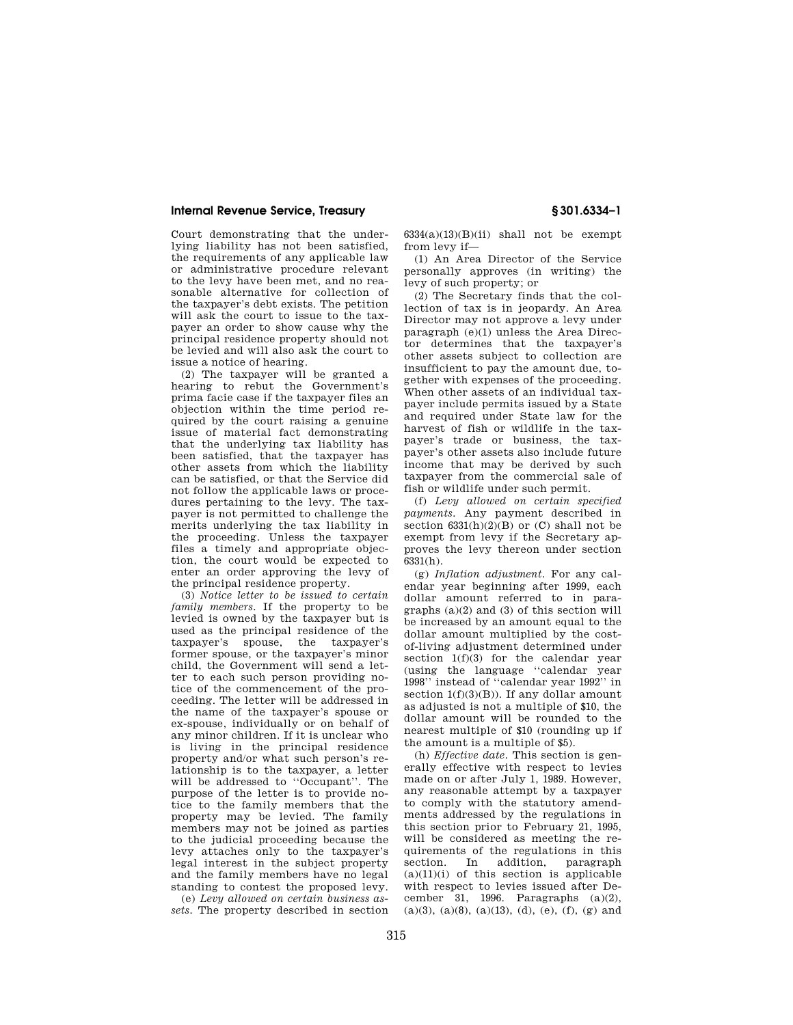# **Internal Revenue Service, Treasury § 301.6334–1**

Court demonstrating that the underlying liability has not been satisfied, the requirements of any applicable law or administrative procedure relevant to the levy have been met, and no reasonable alternative for collection of the taxpayer's debt exists. The petition will ask the court to issue to the taxpayer an order to show cause why the principal residence property should not be levied and will also ask the court to issue a notice of hearing.

(2) The taxpayer will be granted a hearing to rebut the Government's prima facie case if the taxpayer files an objection within the time period required by the court raising a genuine issue of material fact demonstrating that the underlying tax liability has been satisfied, that the taxpayer has other assets from which the liability can be satisfied, or that the Service did not follow the applicable laws or procedures pertaining to the levy. The taxpayer is not permitted to challenge the merits underlying the tax liability in the proceeding. Unless the taxpayer files a timely and appropriate objection, the court would be expected to enter an order approving the levy of the principal residence property.

(3) *Notice letter to be issued to certain family members.* If the property to be levied is owned by the taxpayer but is used as the principal residence of the taxpayer's spouse, the taxpayer's former spouse, or the taxpayer's minor child, the Government will send a letter to each such person providing notice of the commencement of the proceeding. The letter will be addressed in the name of the taxpayer's spouse or ex-spouse, individually or on behalf of any minor children. If it is unclear who is living in the principal residence property and/or what such person's relationship is to the taxpayer, a letter will be addressed to ''Occupant''. The purpose of the letter is to provide notice to the family members that the property may be levied. The family members may not be joined as parties to the judicial proceeding because the levy attaches only to the taxpayer's legal interest in the subject property and the family members have no legal standing to contest the proposed levy.

(e) *Levy allowed on certain business assets.* The property described in section  $6334(a)(13)(B)(ii)$  shall not be exempt from levy if—

(1) An Area Director of the Service personally approves (in writing) the levy of such property; or

(2) The Secretary finds that the collection of tax is in jeopardy. An Area Director may not approve a levy under paragraph (e)(1) unless the Area Director determines that the taxpayer's other assets subject to collection are insufficient to pay the amount due, together with expenses of the proceeding. When other assets of an individual taxpayer include permits issued by a State and required under State law for the harvest of fish or wildlife in the taxpayer's trade or business, the taxpayer's other assets also include future income that may be derived by such taxpayer from the commercial sale of fish or wildlife under such permit.

(f) *Levy allowed on certain specified payments.* Any payment described in section  $6331(h)(2)(B)$  or  $(C)$  shall not be exempt from levy if the Secretary approves the levy thereon under section  $6331(h)$ .

(g) *Inflation adjustment.* For any calendar year beginning after 1999, each dollar amount referred to in paragraphs (a)(2) and (3) of this section will be increased by an amount equal to the dollar amount multiplied by the costof-living adjustment determined under section  $1(f)(3)$  for the calendar year (using the language ''calendar year 1998'' instead of ''calendar year 1992'' in section  $1(f)(3)(B)$ ). If any dollar amount as adjusted is not a multiple of \$10, the dollar amount will be rounded to the nearest multiple of \$10 (rounding up if the amount is a multiple of \$5).

(h) *Effective date.* This section is generally effective with respect to levies made on or after July 1, 1989. However, any reasonable attempt by a taxpayer to comply with the statutory amendments addressed by the regulations in this section prior to February 21, 1995, will be considered as meeting the requirements of the regulations in this section. In addition, paragraph  $(a)(11)(i)$  of this section is applicable with respect to levies issued after December 31, 1996. Paragraphs (a)(2), (a)(3), (a)(8), (a)(13), (d), (e), (f), (g) and